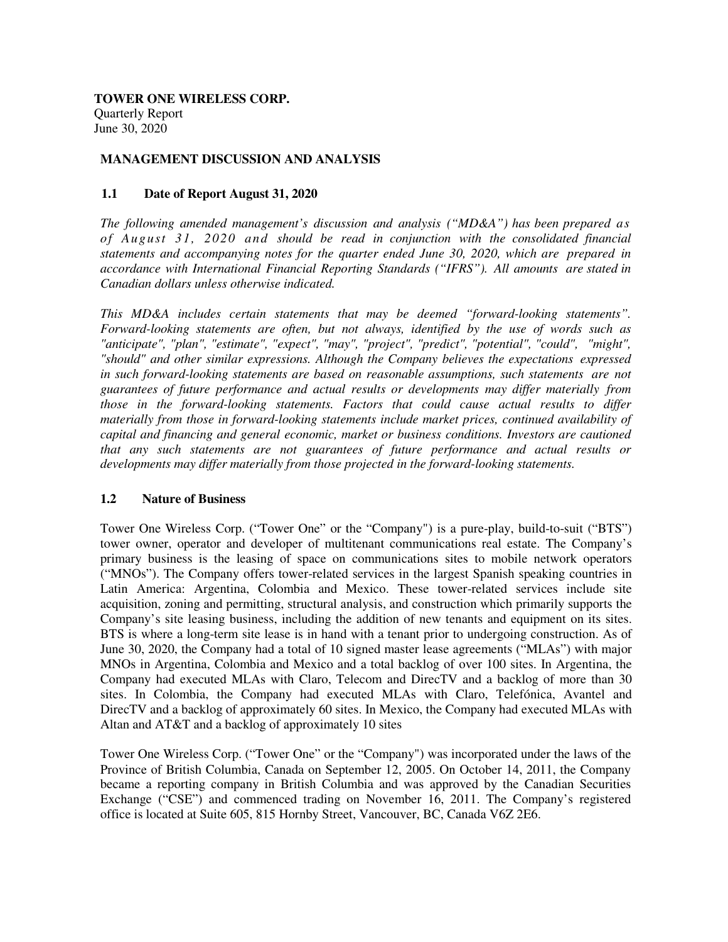**TOWER ONE WIRELESS CORP.**  Quarterly Report June 30, 2020

## **MANAGEMENT DISCUSSION AND ANALYSIS**

### **1.1 Date of Report August 31, 2020**

*The following amended management's discussion and analysis ("MD&A") has been prepared as of August 31, 2020 and should be read in conjunction with the consolidated financial statements and accompanying notes for the quarter ended June 30, 2020, which are prepared in accordance with International Financial Reporting Standards ("IFRS"). All amounts are stated in Canadian dollars unless otherwise indicated.*

*This MD&A includes certain statements that may be deemed "forward-looking statements". Forward-looking statements are often, but not always, identified by the use of words such as "anticipate", "plan", "estimate", "expect", "may", "project", "predict", "potential", "could", "might", "should" and other similar expressions. Although the Company believes the expectations expressed in such forward-looking statements are based on reasonable assumptions, such statements are not guarantees of future performance and actual results or developments may differ materially from those in the forward-looking statements. Factors that could cause actual results to differ materially from those in forward-looking statements include market prices, continued availability of capital and financing and general economic, market or business conditions. Investors are cautioned that any such statements are not guarantees of future performance and actual results or developments may differ materially from those projected in the forward-looking statements.* 

#### **1.2 Nature of Business**

Tower One Wireless Corp. ("Tower One" or the "Company") is a pure-play, build-to-suit ("BTS") tower owner, operator and developer of multitenant communications real estate. The Company's primary business is the leasing of space on communications sites to mobile network operators ("MNOs"). The Company offers tower-related services in the largest Spanish speaking countries in Latin America: Argentina, Colombia and Mexico. These tower-related services include site acquisition, zoning and permitting, structural analysis, and construction which primarily supports the Company's site leasing business, including the addition of new tenants and equipment on its sites. BTS is where a long-term site lease is in hand with a tenant prior to undergoing construction. As of June 30, 2020, the Company had a total of 10 signed master lease agreements ("MLAs") with major MNOs in Argentina, Colombia and Mexico and a total backlog of over 100 sites. In Argentina, the Company had executed MLAs with Claro, Telecom and DirecTV and a backlog of more than 30 sites. In Colombia, the Company had executed MLAs with Claro, Telefónica, Avantel and DirecTV and a backlog of approximately 60 sites. In Mexico, the Company had executed MLAs with Altan and AT&T and a backlog of approximately 10 sites

Tower One Wireless Corp. ("Tower One" or the "Company") was incorporated under the laws of the Province of British Columbia, Canada on September 12, 2005. On October 14, 2011, the Company became a reporting company in British Columbia and was approved by the Canadian Securities Exchange ("CSE") and commenced trading on November 16, 2011. The Company's registered office is located at Suite 605, 815 Hornby Street, Vancouver, BC, Canada V6Z 2E6.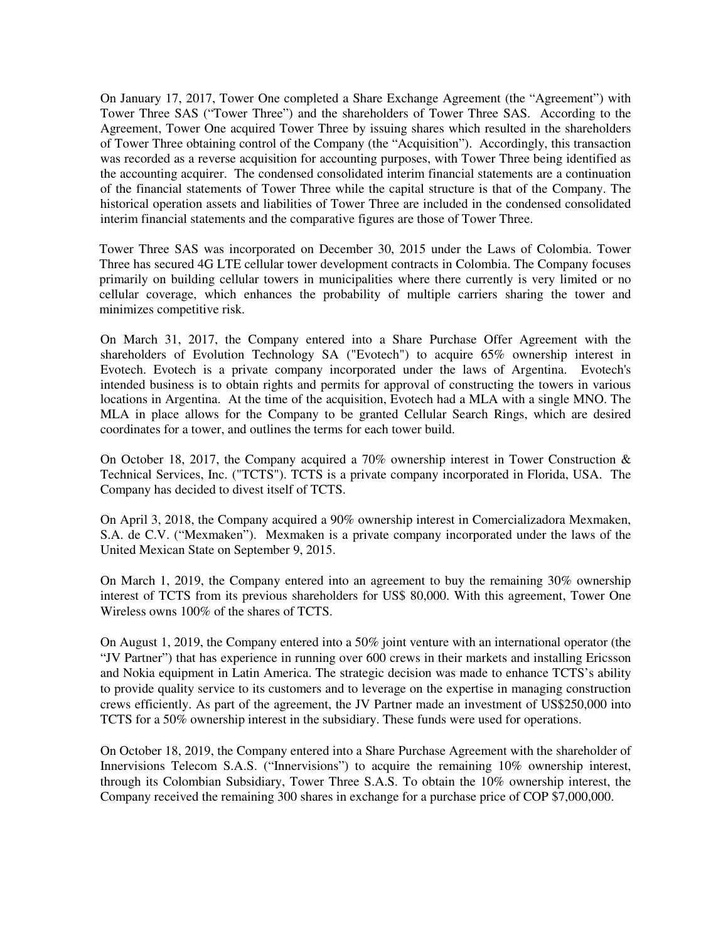On January 17, 2017, Tower One completed a Share Exchange Agreement (the "Agreement") with Tower Three SAS ("Tower Three") and the shareholders of Tower Three SAS. According to the Agreement, Tower One acquired Tower Three by issuing shares which resulted in the shareholders of Tower Three obtaining control of the Company (the "Acquisition"). Accordingly, this transaction was recorded as a reverse acquisition for accounting purposes, with Tower Three being identified as the accounting acquirer. The condensed consolidated interim financial statements are a continuation of the financial statements of Tower Three while the capital structure is that of the Company. The historical operation assets and liabilities of Tower Three are included in the condensed consolidated interim financial statements and the comparative figures are those of Tower Three.

Tower Three SAS was incorporated on December 30, 2015 under the Laws of Colombia. Tower Three has secured 4G LTE cellular tower development contracts in Colombia. The Company focuses primarily on building cellular towers in municipalities where there currently is very limited or no cellular coverage, which enhances the probability of multiple carriers sharing the tower and minimizes competitive risk.

On March 31, 2017, the Company entered into a Share Purchase Offer Agreement with the shareholders of Evolution Technology SA ("Evotech") to acquire 65% ownership interest in Evotech. Evotech is a private company incorporated under the laws of Argentina. Evotech's intended business is to obtain rights and permits for approval of constructing the towers in various locations in Argentina. At the time of the acquisition, Evotech had a MLA with a single MNO. The MLA in place allows for the Company to be granted Cellular Search Rings, which are desired coordinates for a tower, and outlines the terms for each tower build.

On October 18, 2017, the Company acquired a 70% ownership interest in Tower Construction & Technical Services, Inc. ("TCTS"). TCTS is a private company incorporated in Florida, USA. The Company has decided to divest itself of TCTS.

On April 3, 2018, the Company acquired a 90% ownership interest in Comercializadora Mexmaken, S.A. de C.V. ("Mexmaken"). Mexmaken is a private company incorporated under the laws of the United Mexican State on September 9, 2015.

On March 1, 2019, the Company entered into an agreement to buy the remaining 30% ownership interest of TCTS from its previous shareholders for US\$ 80,000. With this agreement, Tower One Wireless owns 100% of the shares of TCTS.

On August 1, 2019, the Company entered into a 50% joint venture with an international operator (the "JV Partner") that has experience in running over 600 crews in their markets and installing Ericsson and Nokia equipment in Latin America. The strategic decision was made to enhance TCTS's ability to provide quality service to its customers and to leverage on the expertise in managing construction crews efficiently. As part of the agreement, the JV Partner made an investment of US\$250,000 into TCTS for a 50% ownership interest in the subsidiary. These funds were used for operations.

On October 18, 2019, the Company entered into a Share Purchase Agreement with the shareholder of Innervisions Telecom S.A.S. ("Innervisions") to acquire the remaining 10% ownership interest, through its Colombian Subsidiary, Tower Three S.A.S. To obtain the 10% ownership interest, the Company received the remaining 300 shares in exchange for a purchase price of COP \$7,000,000.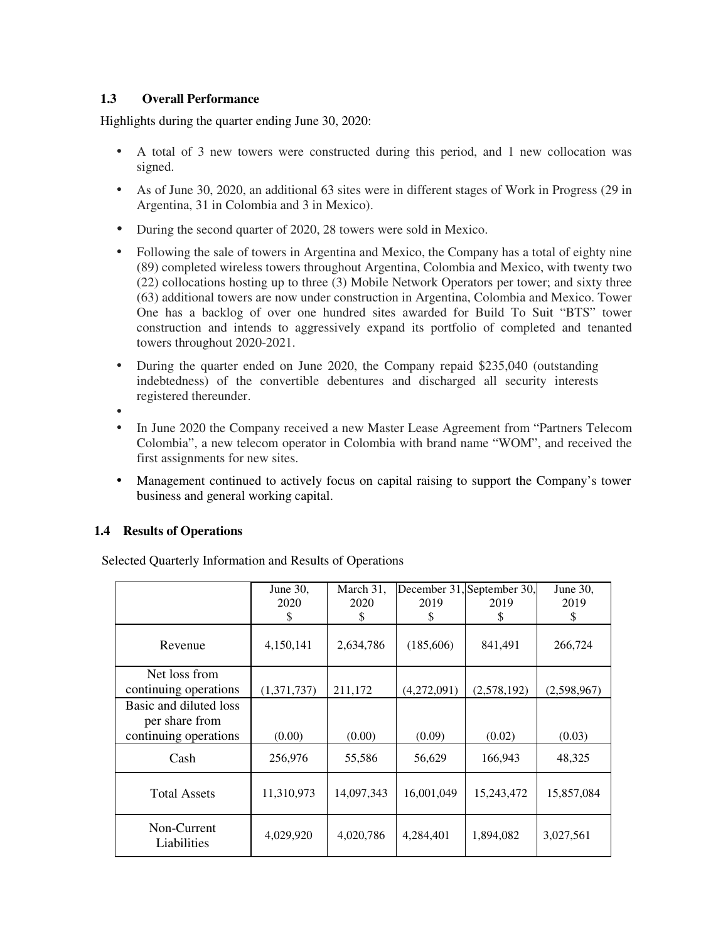# **1.3 Overall Performance**

Highlights during the quarter ending June 30, 2020:

- A total of 3 new towers were constructed during this period, and 1 new collocation was signed.
- As of June 30, 2020, an additional 63 sites were in different stages of Work in Progress (29 in Argentina, 31 in Colombia and 3 in Mexico).
- During the second quarter of 2020, 28 towers were sold in Mexico.
- Following the sale of towers in Argentina and Mexico, the Company has a total of eighty nine (89) completed wireless towers throughout Argentina, Colombia and Mexico, with twenty two (22) collocations hosting up to three (3) Mobile Network Operators per tower; and sixty three (63) additional towers are now under construction in Argentina, Colombia and Mexico. Tower One has a backlog of over one hundred sites awarded for Build To Suit "BTS" tower construction and intends to aggressively expand its portfolio of completed and tenanted towers throughout 2020-2021.
- During the quarter ended on June 2020, the Company repaid \$235,040 (outstanding indebtedness) of the convertible debentures and discharged all security interests registered thereunder.
- •
- In June 2020 the Company received a new Master Lease Agreement from "Partners Telecom Colombia", a new telecom operator in Colombia with brand name "WOM", and received the first assignments for new sites.
- Management continued to actively focus on capital raising to support the Company's tower business and general working capital.

# **1.4 Results of Operations**

Selected Quarterly Information and Results of Operations

|                                                                   | June 30,<br>2020<br>\$ | March 31,<br>2020<br>\$ | 2019<br>\$  | December 31, September 30,<br>2019<br>S | June 30,<br>2019<br>S |
|-------------------------------------------------------------------|------------------------|-------------------------|-------------|-----------------------------------------|-----------------------|
| Revenue                                                           | 4,150,141              | 2,634,786               | (185,606)   | 841,491                                 | 266,724               |
| Net loss from<br>continuing operations                            | (1,371,737)            | 211,172                 | (4,272,091) | (2,578,192)                             | (2,598,967)           |
| Basic and diluted loss<br>per share from<br>continuing operations | (0.00)                 | (0.00)                  | (0.09)      | (0.02)                                  | (0.03)                |
| Cash                                                              | 256,976                | 55,586                  | 56,629      | 166,943                                 | 48,325                |
| <b>Total Assets</b>                                               | 11,310,973             | 14,097,343              | 16,001,049  | 15,243,472                              | 15,857,084            |
| Non-Current<br>Liabilities                                        | 4,029,920              | 4,020,786               | 4,284,401   | 1,894,082                               | 3,027,561             |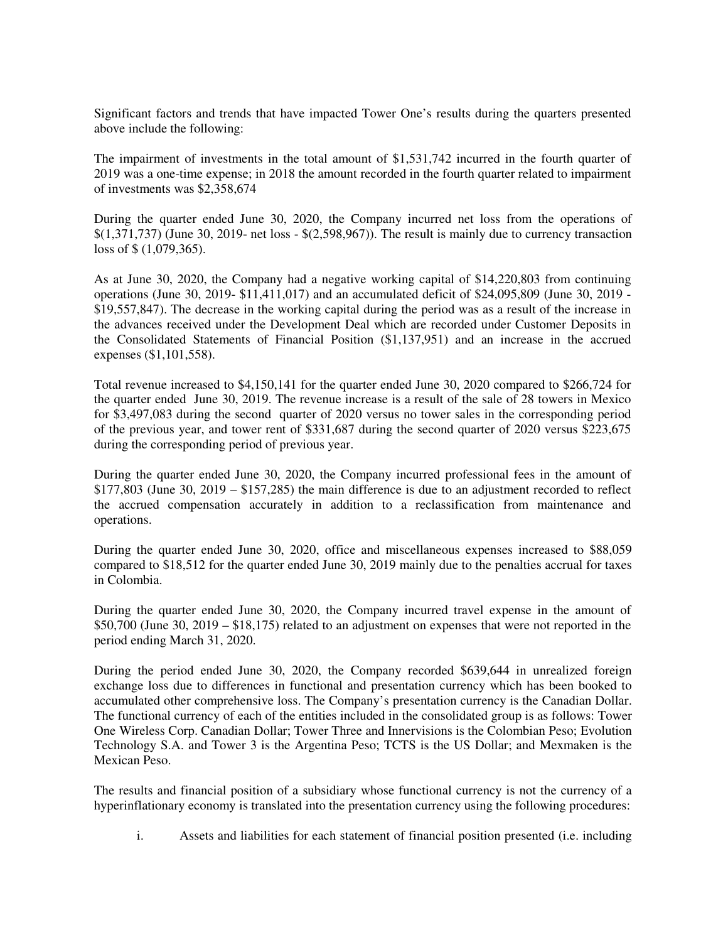Significant factors and trends that have impacted Tower One's results during the quarters presented above include the following:

The impairment of investments in the total amount of \$1,531,742 incurred in the fourth quarter of 2019 was a one-time expense; in 2018 the amount recorded in the fourth quarter related to impairment of investments was \$2,358,674

During the quarter ended June 30, 2020, the Company incurred net loss from the operations of \$(1,371,737) (June 30, 2019- net loss - \$(2,598,967)). The result is mainly due to currency transaction loss of \$ (1,079,365).

As at June 30, 2020, the Company had a negative working capital of \$14,220,803 from continuing operations (June 30, 2019- \$11,411,017) and an accumulated deficit of \$24,095,809 (June 30, 2019 - \$19,557,847). The decrease in the working capital during the period was as a result of the increase in the advances received under the Development Deal which are recorded under Customer Deposits in the Consolidated Statements of Financial Position (\$1,137,951) and an increase in the accrued expenses (\$1,101,558).

Total revenue increased to \$4,150,141 for the quarter ended June 30, 2020 compared to \$266,724 for the quarter ended June 30, 2019. The revenue increase is a result of the sale of 28 towers in Mexico for \$3,497,083 during the second quarter of 2020 versus no tower sales in the corresponding period of the previous year, and tower rent of \$331,687 during the second quarter of 2020 versus \$223,675 during the corresponding period of previous year.

During the quarter ended June 30, 2020, the Company incurred professional fees in the amount of \$177,803 (June 30, 2019 – \$157,285) the main difference is due to an adjustment recorded to reflect the accrued compensation accurately in addition to a reclassification from maintenance and operations.

During the quarter ended June 30, 2020, office and miscellaneous expenses increased to \$88,059 compared to \$18,512 for the quarter ended June 30, 2019 mainly due to the penalties accrual for taxes in Colombia.

During the quarter ended June 30, 2020, the Company incurred travel expense in the amount of \$50,700 (June 30, 2019 – \$18,175) related to an adjustment on expenses that were not reported in the period ending March 31, 2020.

During the period ended June 30, 2020, the Company recorded \$639,644 in unrealized foreign exchange loss due to differences in functional and presentation currency which has been booked to accumulated other comprehensive loss. The Company's presentation currency is the Canadian Dollar. The functional currency of each of the entities included in the consolidated group is as follows: Tower One Wireless Corp. Canadian Dollar; Tower Three and Innervisions is the Colombian Peso; Evolution Technology S.A. and Tower 3 is the Argentina Peso; TCTS is the US Dollar; and Mexmaken is the Mexican Peso.

The results and financial position of a subsidiary whose functional currency is not the currency of a hyperinflationary economy is translated into the presentation currency using the following procedures:

i. Assets and liabilities for each statement of financial position presented (i.e. including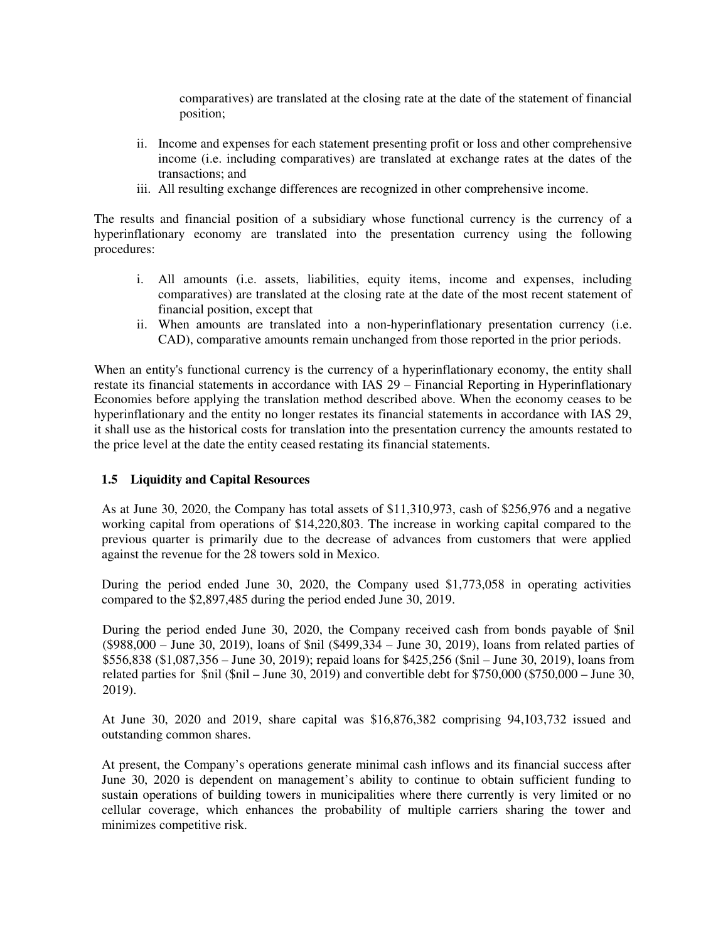comparatives) are translated at the closing rate at the date of the statement of financial position;

- ii. Income and expenses for each statement presenting profit or loss and other comprehensive income (i.e. including comparatives) are translated at exchange rates at the dates of the transactions; and
- iii. All resulting exchange differences are recognized in other comprehensive income.

The results and financial position of a subsidiary whose functional currency is the currency of a hyperinflationary economy are translated into the presentation currency using the following procedures:

- i. All amounts (i.e. assets, liabilities, equity items, income and expenses, including comparatives) are translated at the closing rate at the date of the most recent statement of financial position, except that
- ii. When amounts are translated into a non-hyperinflationary presentation currency (i.e. CAD), comparative amounts remain unchanged from those reported in the prior periods.

When an entity's functional currency is the currency of a hyperinflationary economy, the entity shall restate its financial statements in accordance with IAS 29 – Financial Reporting in Hyperinflationary Economies before applying the translation method described above. When the economy ceases to be hyperinflationary and the entity no longer restates its financial statements in accordance with IAS 29, it shall use as the historical costs for translation into the presentation currency the amounts restated to the price level at the date the entity ceased restating its financial statements.

# **1.5 Liquidity and Capital Resources**

As at June 30, 2020, the Company has total assets of \$11,310,973, cash of \$256,976 and a negative working capital from operations of \$14,220,803. The increase in working capital compared to the previous quarter is primarily due to the decrease of advances from customers that were applied against the revenue for the 28 towers sold in Mexico.

During the period ended June 30, 2020, the Company used \$1,773,058 in operating activities compared to the \$2,897,485 during the period ended June 30, 2019.

During the period ended June 30, 2020, the Company received cash from bonds payable of \$nil (\$988,000 – June 30, 2019), loans of \$nil (\$499,334 – June 30, 2019), loans from related parties of \$556,838 (\$1,087,356 – June 30, 2019); repaid loans for \$425,256 (\$nil – June 30, 2019), loans from related parties for \$nil (\$nil – June 30, 2019) and convertible debt for \$750,000 (\$750,000 – June 30, 2019).

At June 30, 2020 and 2019, share capital was \$16,876,382 comprising 94,103,732 issued and outstanding common shares.

At present, the Company's operations generate minimal cash inflows and its financial success after June 30, 2020 is dependent on management's ability to continue to obtain sufficient funding to sustain operations of building towers in municipalities where there currently is very limited or no cellular coverage, which enhances the probability of multiple carriers sharing the tower and minimizes competitive risk.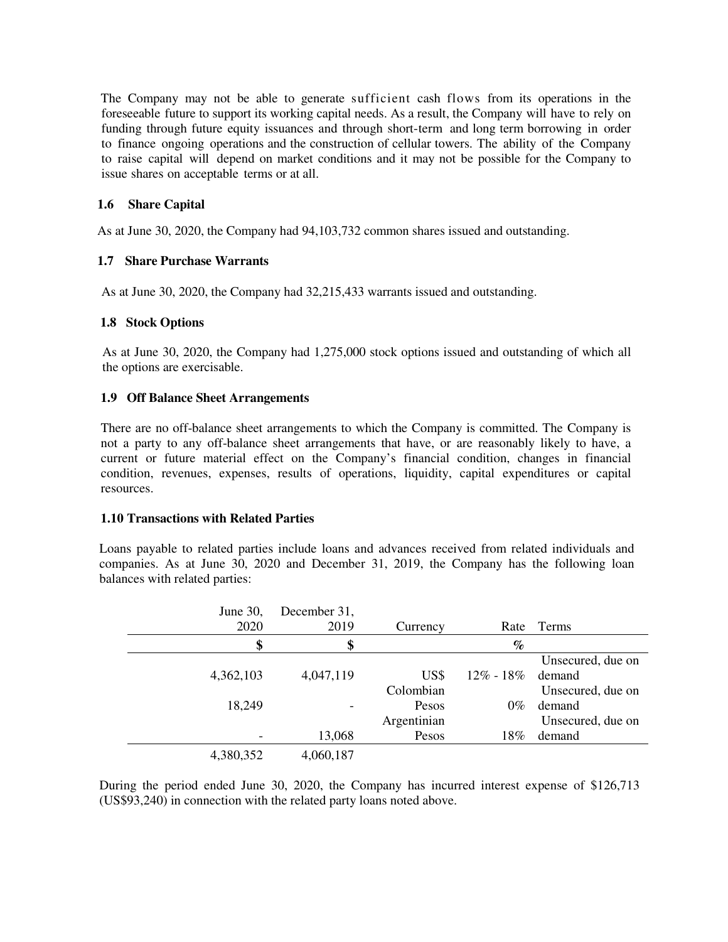The Company may not be able to generate sufficient cash flows from its operations in the foreseeable future to support its working capital needs. As a result, the Company will have to rely on funding through future equity issuances and through short-term and long term borrowing in order to finance ongoing operations and the construction of cellular towers. The ability of the Company to raise capital will depend on market conditions and it may not be possible for the Company to issue shares on acceptable terms or at all.

## **1.6 Share Capital**

As at June 30, 2020, the Company had 94,103,732 common shares issued and outstanding.

# **1.7 Share Purchase Warrants**

As at June 30, 2020, the Company had 32,215,433 warrants issued and outstanding.

#### **1.8 Stock Options**

As at June 30, 2020, the Company had 1,275,000 stock options issued and outstanding of which all the options are exercisable.

### **1.9 Off Balance Sheet Arrangements**

There are no off-balance sheet arrangements to which the Company is committed. The Company is not a party to any off-balance sheet arrangements that have, or are reasonably likely to have, a current or future material effect on the Company's financial condition, changes in financial condition, revenues, expenses, results of operations, liquidity, capital expenditures or capital resources.

#### **1.10 Transactions with Related Parties**

Loans payable to related parties include loans and advances received from related individuals and companies. As at June 30, 2020 and December 31, 2019, the Company has the following loan balances with related parties:

| June 30,  | December 31, |             |               |                   |
|-----------|--------------|-------------|---------------|-------------------|
| 2020      | 2019         | Currency    | Rate          | Terms             |
| \$        | \$           |             | $\%$          |                   |
|           |              |             |               | Unsecured, due on |
| 4,362,103 | 4,047,119    | US\$        | $12\% - 18\%$ | demand            |
|           |              | Colombian   |               | Unsecured, due on |
| 18,249    |              | Pesos       | $0\%$         | demand            |
|           |              | Argentinian |               | Unsecured, due on |
|           | 13,068       | Pesos       | 18%           | demand            |
| 4,380,352 | 4,060,187    |             |               |                   |

During the period ended June 30, 2020, the Company has incurred interest expense of \$126,713 (US\$93,240) in connection with the related party loans noted above.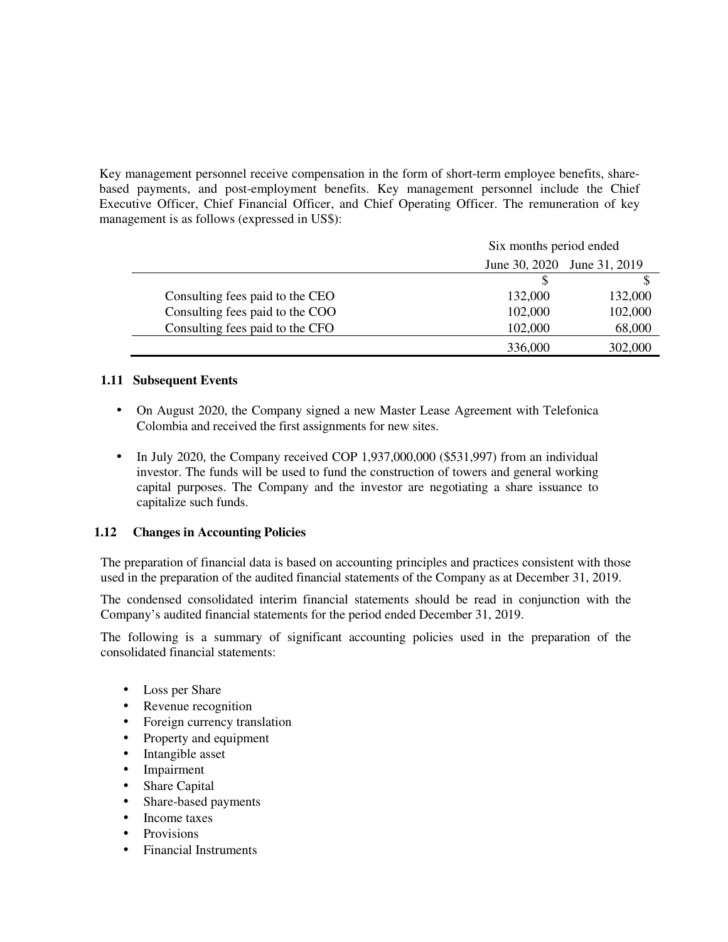Key management personnel receive compensation in the form of short-term employee benefits, sharebased payments, and post-employment benefits. Key management personnel include the Chief Executive Officer, Chief Financial Officer, and Chief Operating Officer. The remuneration of key management is as follows (expressed in US\$):

|                                 | Six months period ended     |         |  |
|---------------------------------|-----------------------------|---------|--|
|                                 | June 30, 2020 June 31, 2019 |         |  |
|                                 |                             |         |  |
| Consulting fees paid to the CEO | 132,000                     | 132,000 |  |
| Consulting fees paid to the COO | 102,000                     | 102,000 |  |
| Consulting fees paid to the CFO | 102,000                     | 68,000  |  |
|                                 | 336,000                     | 302,000 |  |

# **1.11 Subsequent Events**

- On August 2020, the Company signed a new Master Lease Agreement with Telefonica Colombia and received the first assignments for new sites.
- In July 2020, the Company received COP 1,937,000,000 (\$531,997) from an individual investor. The funds will be used to fund the construction of towers and general working capital purposes. The Company and the investor are negotiating a share issuance to capitalize such funds.

#### **1.12 Changes in Accounting Policies**

The preparation of financial data is based on accounting principles and practices consistent with those used in the preparation of the audited financial statements of the Company as at December 31, 2019.

The condensed consolidated interim financial statements should be read in conjunction with the Company's audited financial statements for the period ended December 31, 2019.

The following is a summary of significant accounting policies used in the preparation of the consolidated financial statements:

- Loss per Share
- Revenue recognition
- Foreign currency translation
- Property and equipment
- Intangible asset
- **Impairment**
- Share Capital
- Share-based payments
- Income taxes
- Provisions
- Financial Instruments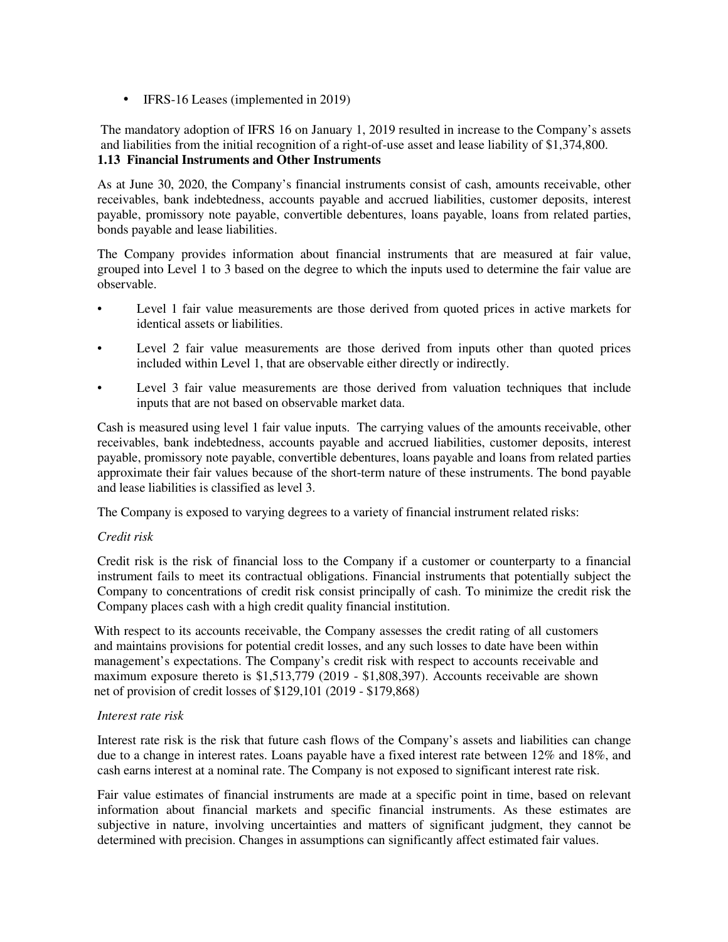• IFRS-16 Leases (implemented in 2019)

The mandatory adoption of IFRS 16 on January 1, 2019 resulted in increase to the Company's assets and liabilities from the initial recognition of a right-of-use asset and lease liability of \$1,374,800. **1.13 Financial Instruments and Other Instruments**

As at June 30, 2020, the Company's financial instruments consist of cash, amounts receivable, other receivables, bank indebtedness, accounts payable and accrued liabilities, customer deposits, interest payable, promissory note payable, convertible debentures, loans payable, loans from related parties, bonds payable and lease liabilities.

The Company provides information about financial instruments that are measured at fair value, grouped into Level 1 to 3 based on the degree to which the inputs used to determine the fair value are observable.

- Level 1 fair value measurements are those derived from quoted prices in active markets for identical assets or liabilities.
- Level 2 fair value measurements are those derived from inputs other than quoted prices included within Level 1, that are observable either directly or indirectly.
- Level 3 fair value measurements are those derived from valuation techniques that include inputs that are not based on observable market data.

Cash is measured using level 1 fair value inputs. The carrying values of the amounts receivable, other receivables, bank indebtedness, accounts payable and accrued liabilities, customer deposits, interest payable, promissory note payable, convertible debentures, loans payable and loans from related parties approximate their fair values because of the short-term nature of these instruments. The bond payable and lease liabilities is classified as level 3.

The Company is exposed to varying degrees to a variety of financial instrument related risks:

#### *Credit risk*

Credit risk is the risk of financial loss to the Company if a customer or counterparty to a financial instrument fails to meet its contractual obligations. Financial instruments that potentially subject the Company to concentrations of credit risk consist principally of cash. To minimize the credit risk the Company places cash with a high credit quality financial institution.

With respect to its accounts receivable, the Company assesses the credit rating of all customers and maintains provisions for potential credit losses, and any such losses to date have been within management's expectations. The Company's credit risk with respect to accounts receivable and maximum exposure thereto is \$1,513,779 (2019 - \$1,808,397). Accounts receivable are shown net of provision of credit losses of \$129,101 (2019 - \$179,868)

#### *Interest rate risk*

Interest rate risk is the risk that future cash flows of the Company's assets and liabilities can change due to a change in interest rates. Loans payable have a fixed interest rate between 12% and 18%, and cash earns interest at a nominal rate. The Company is not exposed to significant interest rate risk.

Fair value estimates of financial instruments are made at a specific point in time, based on relevant information about financial markets and specific financial instruments. As these estimates are subjective in nature, involving uncertainties and matters of significant judgment, they cannot be determined with precision. Changes in assumptions can significantly affect estimated fair values.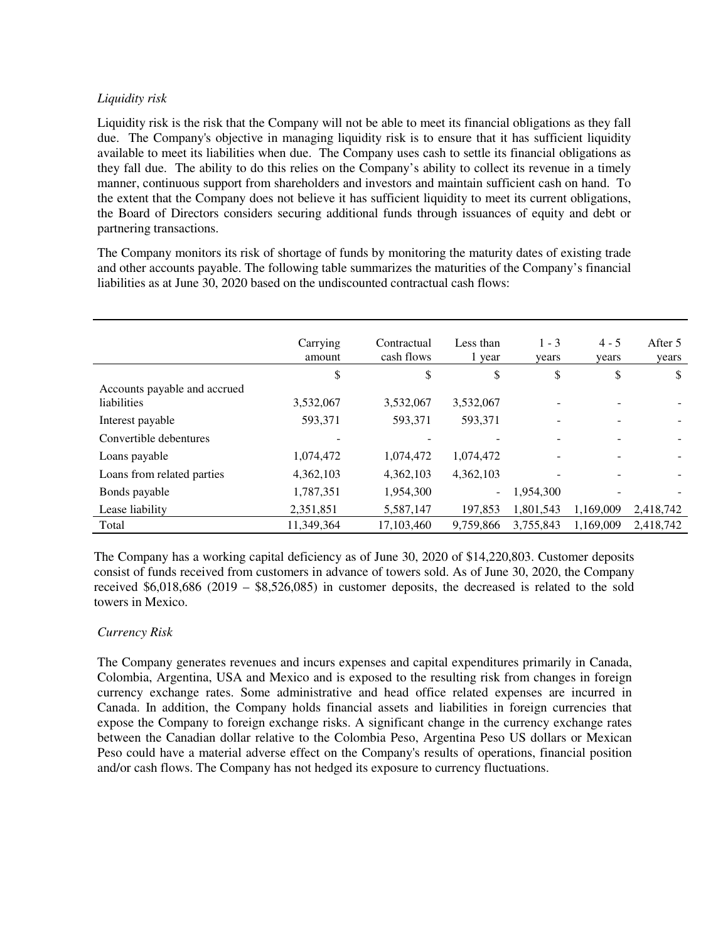# *Liquidity risk*

Liquidity risk is the risk that the Company will not be able to meet its financial obligations as they fall due. The Company's objective in managing liquidity risk is to ensure that it has sufficient liquidity available to meet its liabilities when due. The Company uses cash to settle its financial obligations as they fall due. The ability to do this relies on the Company's ability to collect its revenue in a timely manner, continuous support from shareholders and investors and maintain sufficient cash on hand. To the extent that the Company does not believe it has sufficient liquidity to meet its current obligations, the Board of Directors considers securing additional funds through issuances of equity and debt or partnering transactions.

The Company monitors its risk of shortage of funds by monitoring the maturity dates of existing trade and other accounts payable. The following table summarizes the maturities of the Company's financial liabilities as at June 30, 2020 based on the undiscounted contractual cash flows:

|                                                    | Carrying<br>amount | Contractual<br>cash flows | Less than<br>1 year | $1 - 3$<br>years | $4 - 5$<br>years | After 5<br>years |
|----------------------------------------------------|--------------------|---------------------------|---------------------|------------------|------------------|------------------|
|                                                    | \$                 | \$                        | \$                  | \$               | \$               | \$               |
| Accounts payable and accrued<br><i>liabilities</i> | 3,532,067          | 3,532,067                 | 3,532,067           |                  |                  |                  |
| Interest payable                                   | 593,371            | 593,371                   | 593.371             |                  |                  | -                |
| Convertible debentures                             |                    |                           |                     |                  |                  |                  |
| Loans payable                                      | 1,074,472          | 1,074,472                 | 1,074,472           |                  |                  |                  |
| Loans from related parties                         | 4,362,103          | 4,362,103                 | 4,362,103           |                  |                  |                  |
| Bonds payable                                      | 1,787,351          | 1,954,300                 | $\sim$              | 1,954,300        |                  |                  |
| Lease liability                                    | 2,351,851          | 5,587,147                 | 197.853             | 1.801.543        | 1.169.009        | 2.418.742        |
| Total                                              | 11,349,364         | 17,103,460                | 9,759,866           | 3,755,843        | 1,169,009        | 2.418.742        |

The Company has a working capital deficiency as of June 30, 2020 of \$14,220,803. Customer deposits consist of funds received from customers in advance of towers sold. As of June 30, 2020, the Company received \$6,018,686 (2019 – \$8,526,085) in customer deposits, the decreased is related to the sold towers in Mexico.

# *Currency Risk*

The Company generates revenues and incurs expenses and capital expenditures primarily in Canada, Colombia, Argentina, USA and Mexico and is exposed to the resulting risk from changes in foreign currency exchange rates. Some administrative and head office related expenses are incurred in Canada. In addition, the Company holds financial assets and liabilities in foreign currencies that expose the Company to foreign exchange risks. A significant change in the currency exchange rates between the Canadian dollar relative to the Colombia Peso, Argentina Peso US dollars or Mexican Peso could have a material adverse effect on the Company's results of operations, financial position and/or cash flows. The Company has not hedged its exposure to currency fluctuations.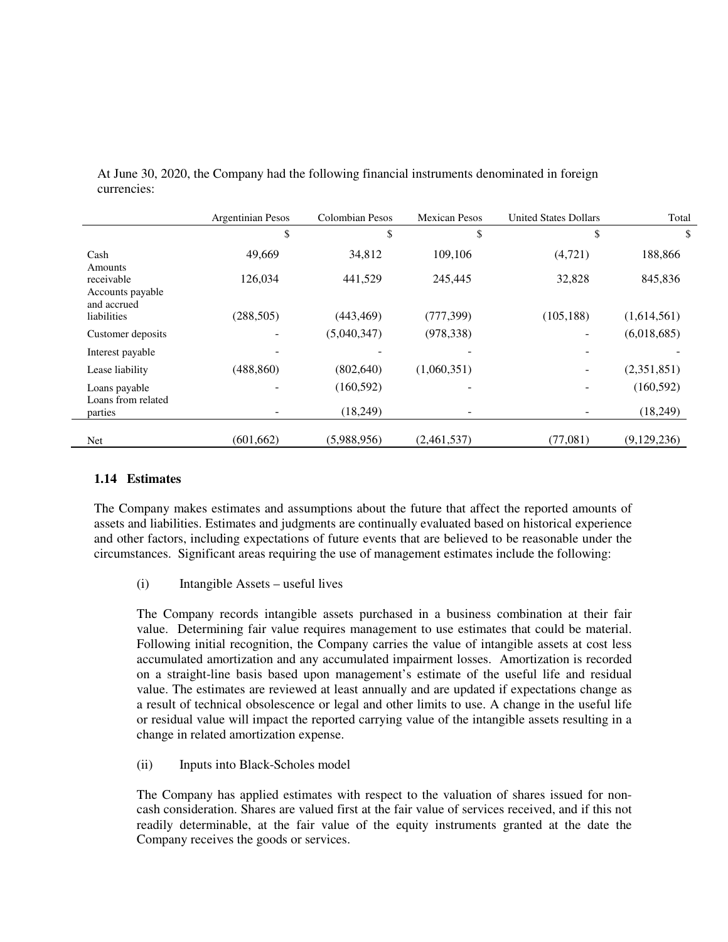|                                               | <b>Argentinian Pesos</b> | <b>Colombian Pesos</b> | <b>Mexican Pesos</b> | <b>United States Dollars</b> | Total       |
|-----------------------------------------------|--------------------------|------------------------|----------------------|------------------------------|-------------|
|                                               | \$                       | \$                     | \$                   | \$                           | \$          |
| Cash<br>Amounts                               | 49,669                   | 34,812                 | 109.106              | (4,721)                      | 188,866     |
| receivable<br>Accounts payable<br>and accrued | 126,034                  | 441,529                | 245,445              | 32,828                       | 845,836     |
| liabilities                                   | (288, 505)               | (443, 469)             | (777, 399)           | (105, 188)                   | (1,614,561) |
| Customer deposits                             |                          | (5,040,347)            | (978, 338)           |                              | (6,018,685) |
| Interest payable                              |                          |                        |                      |                              |             |
| Lease liability                               | (488, 860)               | (802, 640)             | (1,060,351)          |                              | (2,351,851) |
| Loans payable<br>Loans from related           |                          | (160, 592)             |                      |                              | (160, 592)  |
| parties                                       |                          | (18,249)               |                      |                              | (18,249)    |
| <b>Net</b>                                    | (601, 662)               | (5,988,956)            | (2,461,537)          | (77,081)                     | (9,129,236) |

At June 30, 2020, the Company had the following financial instruments denominated in foreign currencies:

# **1.14 Estimates**

The Company makes estimates and assumptions about the future that affect the reported amounts of assets and liabilities. Estimates and judgments are continually evaluated based on historical experience and other factors, including expectations of future events that are believed to be reasonable under the circumstances. Significant areas requiring the use of management estimates include the following:

(i) Intangible Assets – useful lives

The Company records intangible assets purchased in a business combination at their fair value. Determining fair value requires management to use estimates that could be material. Following initial recognition, the Company carries the value of intangible assets at cost less accumulated amortization and any accumulated impairment losses. Amortization is recorded on a straight-line basis based upon management's estimate of the useful life and residual value. The estimates are reviewed at least annually and are updated if expectations change as a result of technical obsolescence or legal and other limits to use. A change in the useful life or residual value will impact the reported carrying value of the intangible assets resulting in a change in related amortization expense.

(ii) Inputs into Black-Scholes model

The Company has applied estimates with respect to the valuation of shares issued for noncash consideration. Shares are valued first at the fair value of services received, and if this not readily determinable, at the fair value of the equity instruments granted at the date the Company receives the goods or services.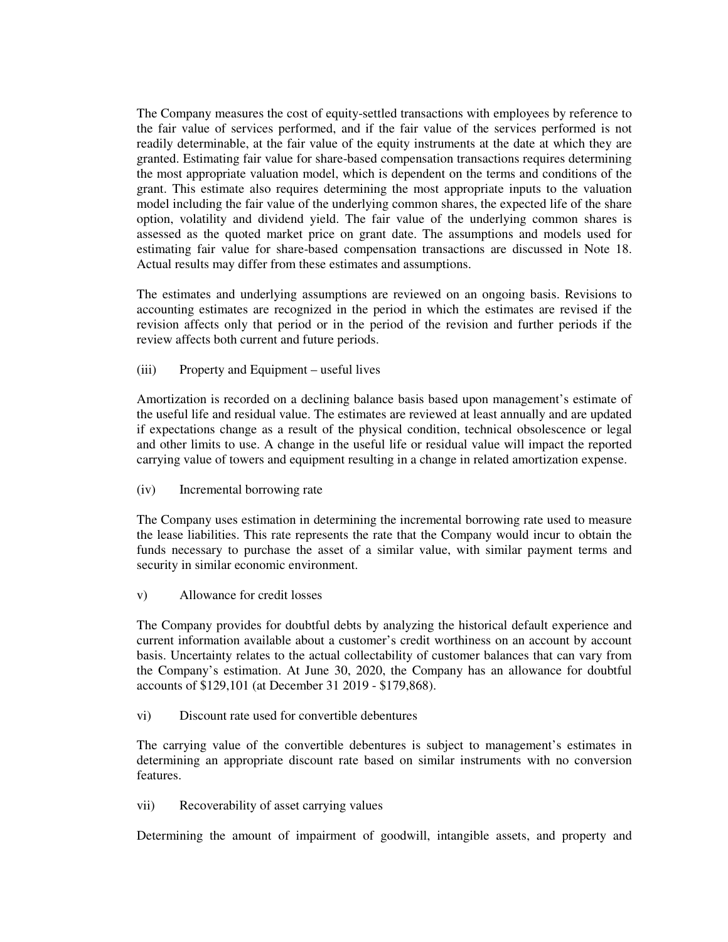The Company measures the cost of equity-settled transactions with employees by reference to the fair value of services performed, and if the fair value of the services performed is not readily determinable, at the fair value of the equity instruments at the date at which they are granted. Estimating fair value for share-based compensation transactions requires determining the most appropriate valuation model, which is dependent on the terms and conditions of the grant. This estimate also requires determining the most appropriate inputs to the valuation model including the fair value of the underlying common shares, the expected life of the share option, volatility and dividend yield. The fair value of the underlying common shares is assessed as the quoted market price on grant date. The assumptions and models used for estimating fair value for share-based compensation transactions are discussed in Note 18. Actual results may differ from these estimates and assumptions.

The estimates and underlying assumptions are reviewed on an ongoing basis. Revisions to accounting estimates are recognized in the period in which the estimates are revised if the revision affects only that period or in the period of the revision and further periods if the review affects both current and future periods.

(iii) Property and Equipment – useful lives

Amortization is recorded on a declining balance basis based upon management's estimate of the useful life and residual value. The estimates are reviewed at least annually and are updated if expectations change as a result of the physical condition, technical obsolescence or legal and other limits to use. A change in the useful life or residual value will impact the reported carrying value of towers and equipment resulting in a change in related amortization expense.

(iv) Incremental borrowing rate

The Company uses estimation in determining the incremental borrowing rate used to measure the lease liabilities. This rate represents the rate that the Company would incur to obtain the funds necessary to purchase the asset of a similar value, with similar payment terms and security in similar economic environment.

v) Allowance for credit losses

The Company provides for doubtful debts by analyzing the historical default experience and current information available about a customer's credit worthiness on an account by account basis. Uncertainty relates to the actual collectability of customer balances that can vary from the Company's estimation. At June 30, 2020, the Company has an allowance for doubtful accounts of \$129,101 (at December 31 2019 - \$179,868).

vi) Discount rate used for convertible debentures

The carrying value of the convertible debentures is subject to management's estimates in determining an appropriate discount rate based on similar instruments with no conversion features.

vii) Recoverability of asset carrying values

Determining the amount of impairment of goodwill, intangible assets, and property and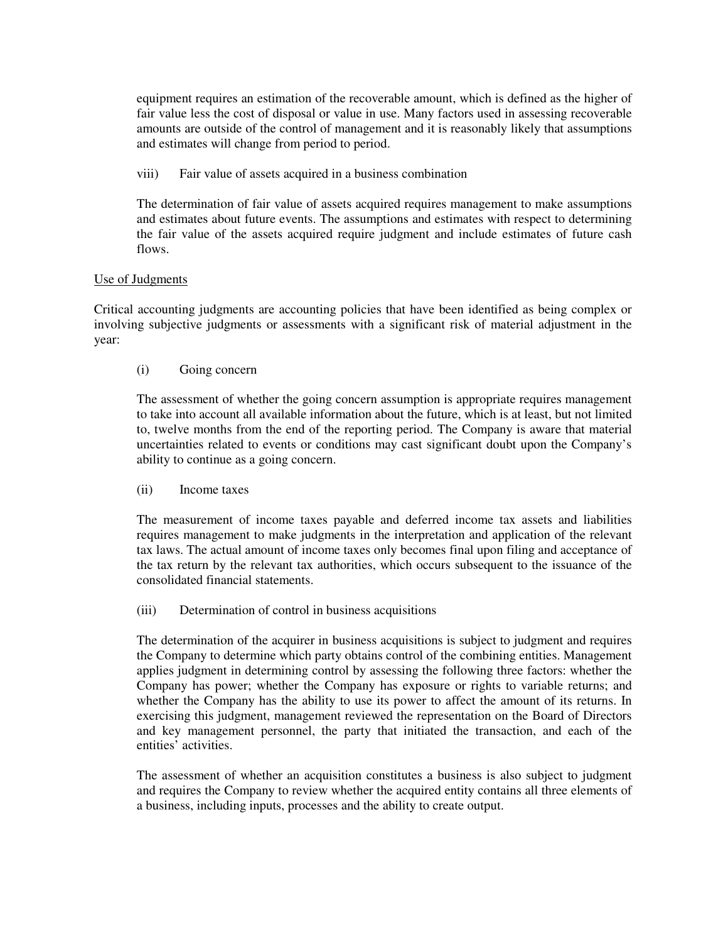equipment requires an estimation of the recoverable amount, which is defined as the higher of fair value less the cost of disposal or value in use. Many factors used in assessing recoverable amounts are outside of the control of management and it is reasonably likely that assumptions and estimates will change from period to period.

viii) Fair value of assets acquired in a business combination

The determination of fair value of assets acquired requires management to make assumptions and estimates about future events. The assumptions and estimates with respect to determining the fair value of the assets acquired require judgment and include estimates of future cash flows.

### Use of Judgments

Critical accounting judgments are accounting policies that have been identified as being complex or involving subjective judgments or assessments with a significant risk of material adjustment in the year:

### (i) Going concern

The assessment of whether the going concern assumption is appropriate requires management to take into account all available information about the future, which is at least, but not limited to, twelve months from the end of the reporting period. The Company is aware that material uncertainties related to events or conditions may cast significant doubt upon the Company's ability to continue as a going concern.

#### (ii) Income taxes

The measurement of income taxes payable and deferred income tax assets and liabilities requires management to make judgments in the interpretation and application of the relevant tax laws. The actual amount of income taxes only becomes final upon filing and acceptance of the tax return by the relevant tax authorities, which occurs subsequent to the issuance of the consolidated financial statements.

#### (iii) Determination of control in business acquisitions

The determination of the acquirer in business acquisitions is subject to judgment and requires the Company to determine which party obtains control of the combining entities. Management applies judgment in determining control by assessing the following three factors: whether the Company has power; whether the Company has exposure or rights to variable returns; and whether the Company has the ability to use its power to affect the amount of its returns. In exercising this judgment, management reviewed the representation on the Board of Directors and key management personnel, the party that initiated the transaction, and each of the entities' activities.

The assessment of whether an acquisition constitutes a business is also subject to judgment and requires the Company to review whether the acquired entity contains all three elements of a business, including inputs, processes and the ability to create output.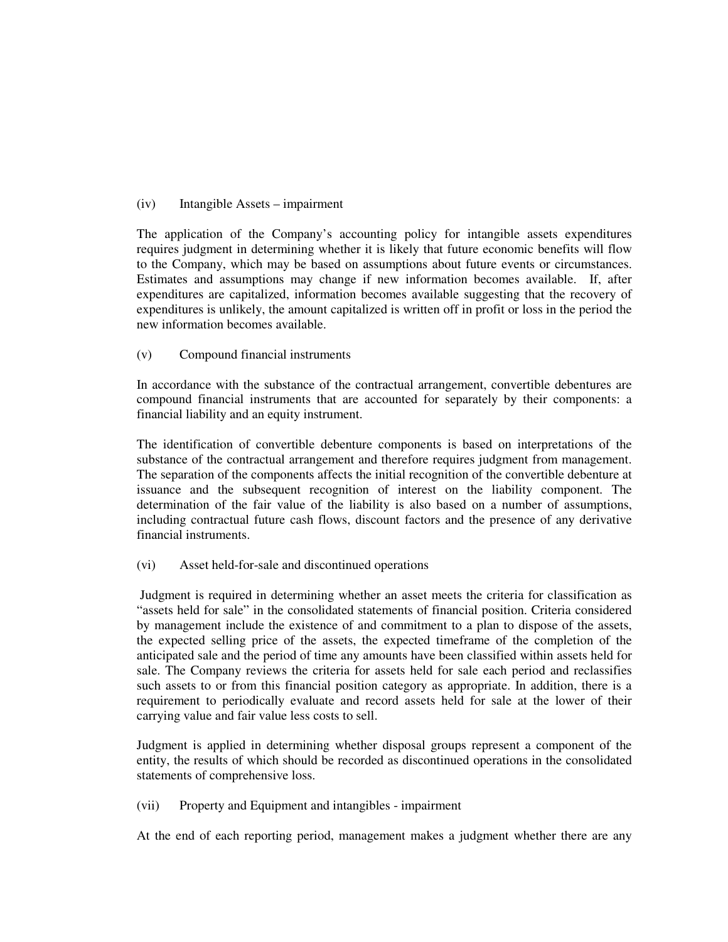### (iv) Intangible Assets – impairment

The application of the Company's accounting policy for intangible assets expenditures requires judgment in determining whether it is likely that future economic benefits will flow to the Company, which may be based on assumptions about future events or circumstances. Estimates and assumptions may change if new information becomes available. If, after expenditures are capitalized, information becomes available suggesting that the recovery of expenditures is unlikely, the amount capitalized is written off in profit or loss in the period the new information becomes available.

### (v) Compound financial instruments

In accordance with the substance of the contractual arrangement, convertible debentures are compound financial instruments that are accounted for separately by their components: a financial liability and an equity instrument.

The identification of convertible debenture components is based on interpretations of the substance of the contractual arrangement and therefore requires judgment from management. The separation of the components affects the initial recognition of the convertible debenture at issuance and the subsequent recognition of interest on the liability component. The determination of the fair value of the liability is also based on a number of assumptions, including contractual future cash flows, discount factors and the presence of any derivative financial instruments.

(vi) Asset held-for-sale and discontinued operations

 Judgment is required in determining whether an asset meets the criteria for classification as "assets held for sale" in the consolidated statements of financial position. Criteria considered by management include the existence of and commitment to a plan to dispose of the assets, the expected selling price of the assets, the expected timeframe of the completion of the anticipated sale and the period of time any amounts have been classified within assets held for sale. The Company reviews the criteria for assets held for sale each period and reclassifies such assets to or from this financial position category as appropriate. In addition, there is a requirement to periodically evaluate and record assets held for sale at the lower of their carrying value and fair value less costs to sell.

Judgment is applied in determining whether disposal groups represent a component of the entity, the results of which should be recorded as discontinued operations in the consolidated statements of comprehensive loss.

(vii) Property and Equipment and intangibles - impairment

At the end of each reporting period, management makes a judgment whether there are any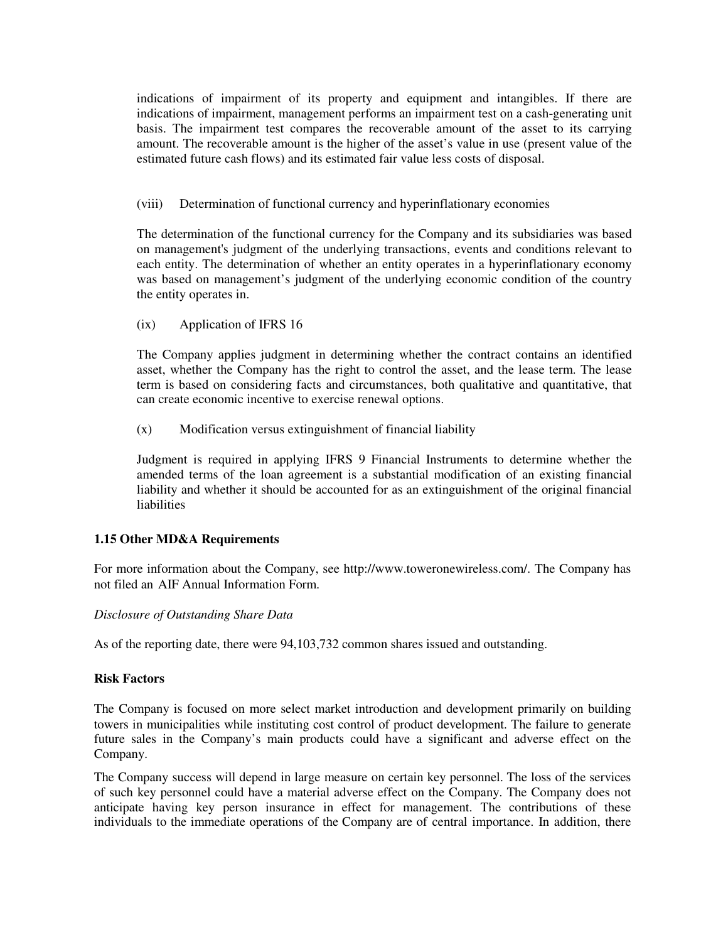indications of impairment of its property and equipment and intangibles. If there are indications of impairment, management performs an impairment test on a cash-generating unit basis. The impairment test compares the recoverable amount of the asset to its carrying amount. The recoverable amount is the higher of the asset's value in use (present value of the estimated future cash flows) and its estimated fair value less costs of disposal.

(viii) Determination of functional currency and hyperinflationary economies

The determination of the functional currency for the Company and its subsidiaries was based on management's judgment of the underlying transactions, events and conditions relevant to each entity. The determination of whether an entity operates in a hyperinflationary economy was based on management's judgment of the underlying economic condition of the country the entity operates in.

(ix) Application of IFRS 16

The Company applies judgment in determining whether the contract contains an identified asset, whether the Company has the right to control the asset, and the lease term. The lease term is based on considering facts and circumstances, both qualitative and quantitative, that can create economic incentive to exercise renewal options.

(x) Modification versus extinguishment of financial liability

Judgment is required in applying IFRS 9 Financial Instruments to determine whether the amended terms of the loan agreement is a substantial modification of an existing financial liability and whether it should be accounted for as an extinguishment of the original financial liabilities

# **1.15 Other MD&A Requirements**

For more information about the Company, see http://www.toweronewireless.com/. The Company has not filed an AIF Annual Information Form.

#### *Disclosure of Outstanding Share Data*

As of the reporting date, there were 94,103,732 common shares issued and outstanding.

#### **Risk Factors**

The Company is focused on more select market introduction and development primarily on building towers in municipalities while instituting cost control of product development. The failure to generate future sales in the Company's main products could have a significant and adverse effect on the Company.

The Company success will depend in large measure on certain key personnel. The loss of the services of such key personnel could have a material adverse effect on the Company. The Company does not anticipate having key person insurance in effect for management. The contributions of these individuals to the immediate operations of the Company are of central importance. In addition, there